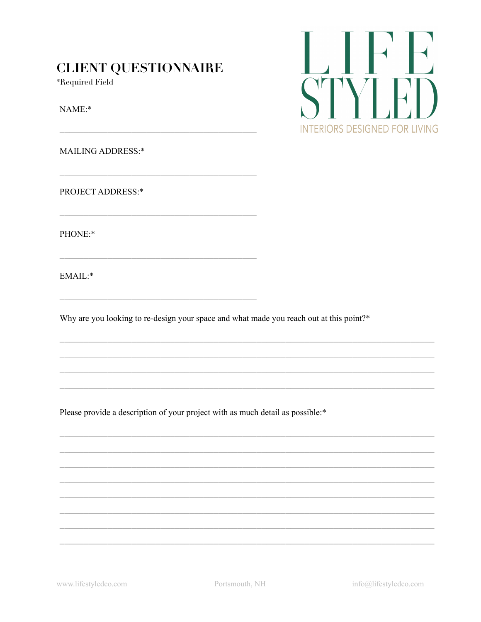## **CLIENT QUESTIONNAIRE**

\*Required Field

NAME:\*

**MAILING ADDRESS:\*** 

PROJECT ADDRESS:\*

PHONE:\*

EMAIL:\*

Why are you looking to re-design your space and what made you reach out at this point?\*

Please provide a description of your project with as much detail as possible:\*



www.lifestyledco.com

info@lifestyledco.com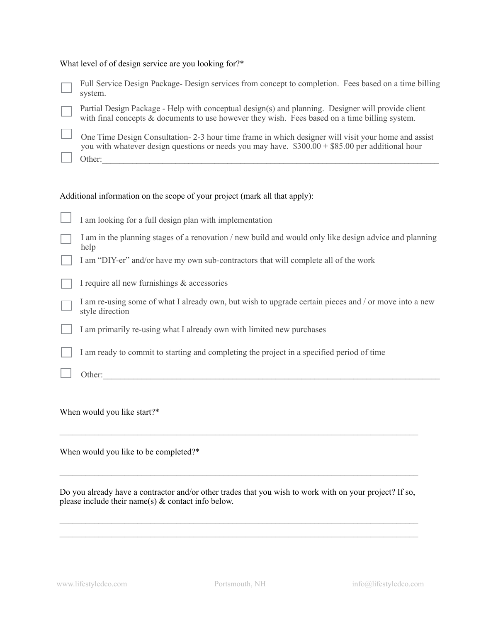## What level of of design service are you looking for?\*

| Full Service Design Package-Design services from concept to completion. Fees based on a time billing<br>system.                                                                                                    |
|--------------------------------------------------------------------------------------------------------------------------------------------------------------------------------------------------------------------|
| Partial Design Package - Help with conceptual design(s) and planning. Designer will provide client<br>with final concepts & documents to use however they wish. Fees based on a time billing system.               |
| One Time Design Consultation - 2-3 hour time frame in which designer will visit your home and assist<br>you with whatever design questions or needs you may have. $$300.00 + $85.00$ per additional hour<br>Other: |
| Additional information on the scope of your project (mark all that apply):                                                                                                                                         |
| I am looking for a full design plan with implementation                                                                                                                                                            |
| I am in the planning stages of a renovation / new build and would only like design advice and planning<br>help                                                                                                     |

I am "DIY-er" and/or have my own sub-contractors that will complete all of the work

|  |  |  |  |  |  |  |  | I require all new furnishings & accessories |
|--|--|--|--|--|--|--|--|---------------------------------------------|
|--|--|--|--|--|--|--|--|---------------------------------------------|

| I am re-using some of what I already own, but wish to upgrade certain pieces and / or move into a new |
|-------------------------------------------------------------------------------------------------------|
| style direction                                                                                       |

I am primarily re-using what I already own with limited new purchases

I am ready to commit to starting and completing the project in a specified period of time

Other:\_\_\_\_\_\_\_\_\_\_\_\_\_\_\_\_\_\_\_\_\_\_\_\_\_\_\_\_\_\_\_\_\_\_\_\_\_\_\_\_\_\_\_\_\_\_\_\_\_\_\_\_\_\_\_\_\_\_\_\_\_\_\_\_\_\_\_\_\_\_\_\_\_\_\_\_\_\_

When would you like start?\*

When would you like to be completed?\*

Do you already have a contractor and/or other trades that you wish to work with on your project? If so, please include their name(s) & contact info below.

 $\_$  , and the state of the state of the state of the state of the state of the state of the state of the state of the state of the state of the state of the state of the state of the state of the state of the state of the  $\mathcal{L}_\mathcal{L} = \{ \mathcal{L}_\mathcal{L} = \{ \mathcal{L}_\mathcal{L} = \{ \mathcal{L}_\mathcal{L} = \{ \mathcal{L}_\mathcal{L} = \{ \mathcal{L}_\mathcal{L} = \{ \mathcal{L}_\mathcal{L} = \{ \mathcal{L}_\mathcal{L} = \{ \mathcal{L}_\mathcal{L} = \{ \mathcal{L}_\mathcal{L} = \{ \mathcal{L}_\mathcal{L} = \{ \mathcal{L}_\mathcal{L} = \{ \mathcal{L}_\mathcal{L} = \{ \mathcal{L}_\mathcal{L} = \{ \mathcal{L}_\mathcal{$ 

 $\mathcal{L}_\mathcal{L} = \{ \mathcal{L}_\mathcal{L} = \{ \mathcal{L}_\mathcal{L} = \{ \mathcal{L}_\mathcal{L} = \{ \mathcal{L}_\mathcal{L} = \{ \mathcal{L}_\mathcal{L} = \{ \mathcal{L}_\mathcal{L} = \{ \mathcal{L}_\mathcal{L} = \{ \mathcal{L}_\mathcal{L} = \{ \mathcal{L}_\mathcal{L} = \{ \mathcal{L}_\mathcal{L} = \{ \mathcal{L}_\mathcal{L} = \{ \mathcal{L}_\mathcal{L} = \{ \mathcal{L}_\mathcal{L} = \{ \mathcal{L}_\mathcal{$ 

 $\mathcal{L}_\mathcal{L} = \{ \mathcal{L}_\mathcal{L} = \{ \mathcal{L}_\mathcal{L} = \{ \mathcal{L}_\mathcal{L} = \{ \mathcal{L}_\mathcal{L} = \{ \mathcal{L}_\mathcal{L} = \{ \mathcal{L}_\mathcal{L} = \{ \mathcal{L}_\mathcal{L} = \{ \mathcal{L}_\mathcal{L} = \{ \mathcal{L}_\mathcal{L} = \{ \mathcal{L}_\mathcal{L} = \{ \mathcal{L}_\mathcal{L} = \{ \mathcal{L}_\mathcal{L} = \{ \mathcal{L}_\mathcal{L} = \{ \mathcal{L}_\mathcal{$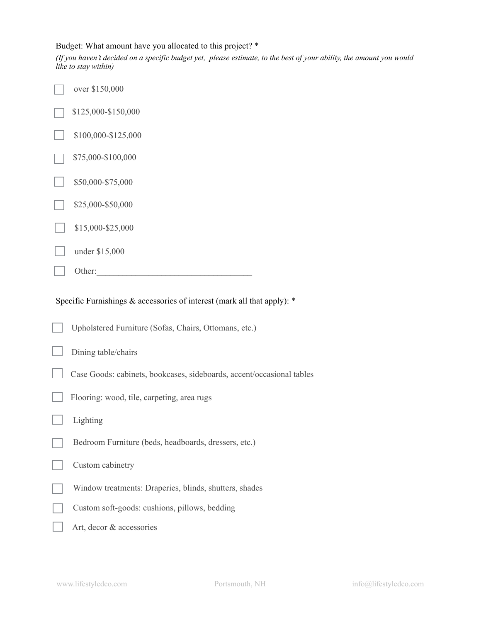## Budget: What amount have you allocated to this project? \*

*(If you haven't decided on a specific budget yet, please estimate, to the best of your ability, the amount you would like to stay within)*

| over \$150,000      |  |
|---------------------|--|
| \$125,000-\$150,000 |  |
| \$100,000-\$125,000 |  |
| \$75,000-\$100,000  |  |
| \$50,000-\$75,000   |  |
| \$25,000-\$50,000   |  |
| \$15,000-\$25,000   |  |
| under \$15,000      |  |
| Other:              |  |

Specific Furnishings & accessories of interest (mark all that apply): \*

| Upholstered Furniture (Sofas, Chairs, Ottomans, etc.)                 |
|-----------------------------------------------------------------------|
| Dining table/chairs                                                   |
| Case Goods: cabinets, bookcases, sideboards, accent/occasional tables |
| Flooring: wood, tile, carpeting, area rugs                            |
| Lighting                                                              |
| Bedroom Furniture (beds, headboards, dressers, etc.)                  |
| Custom cabinetry                                                      |
| Window treatments: Draperies, blinds, shutters, shades                |
| Custom soft-goods: cushions, pillows, bedding                         |
| Art, decor & accessories                                              |
|                                                                       |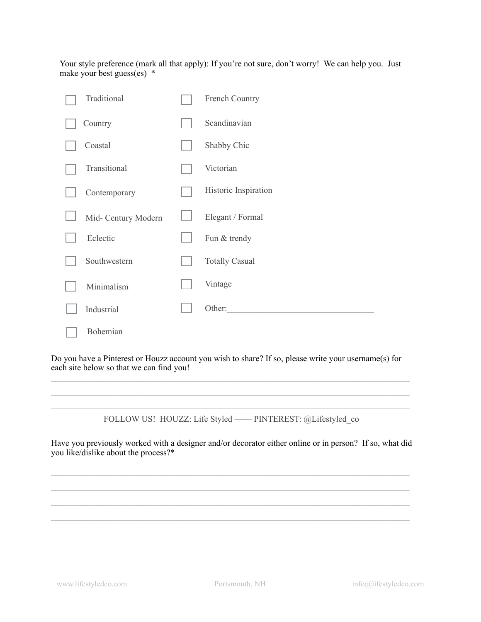Your style preference (mark all that apply): If you're not sure, don't worry! We can help you. Just make your best guess(es) \*

| Traditional         | French Country        |
|---------------------|-----------------------|
| Country             | Scandinavian          |
| Coastal             | Shabby Chic           |
| Transitional        | Victorian             |
| Contemporary        | Historic Inspiration  |
| Mid- Century Modern | Elegant / Formal      |
| Eclectic            | Fun & trendy          |
| Southwestern        | <b>Totally Casual</b> |
| Minimalism          | Vintage               |
| Industrial          | Other:                |
| Bohemian            |                       |

Do you have a Pinterest or Houzz account you wish to share? If so, please write your username(s) for each site below so that we can find you!

 $\mathcal{L}_\mathcal{L} = \{ \mathcal{L}_\mathcal{L} = \{ \mathcal{L}_\mathcal{L} = \{ \mathcal{L}_\mathcal{L} = \{ \mathcal{L}_\mathcal{L} = \{ \mathcal{L}_\mathcal{L} = \{ \mathcal{L}_\mathcal{L} = \{ \mathcal{L}_\mathcal{L} = \{ \mathcal{L}_\mathcal{L} = \{ \mathcal{L}_\mathcal{L} = \{ \mathcal{L}_\mathcal{L} = \{ \mathcal{L}_\mathcal{L} = \{ \mathcal{L}_\mathcal{L} = \{ \mathcal{L}_\mathcal{L} = \{ \mathcal{L}_\mathcal{$  $\mathcal{L}_\mathcal{L} = \{ \mathcal{L}_\mathcal{L} = \{ \mathcal{L}_\mathcal{L} = \{ \mathcal{L}_\mathcal{L} = \{ \mathcal{L}_\mathcal{L} = \{ \mathcal{L}_\mathcal{L} = \{ \mathcal{L}_\mathcal{L} = \{ \mathcal{L}_\mathcal{L} = \{ \mathcal{L}_\mathcal{L} = \{ \mathcal{L}_\mathcal{L} = \{ \mathcal{L}_\mathcal{L} = \{ \mathcal{L}_\mathcal{L} = \{ \mathcal{L}_\mathcal{L} = \{ \mathcal{L}_\mathcal{L} = \{ \mathcal{L}_\mathcal{$ 

 $\mathcal{L}_\mathcal{L} = \{ \mathcal{L}_\mathcal{L} = \{ \mathcal{L}_\mathcal{L} = \{ \mathcal{L}_\mathcal{L} = \{ \mathcal{L}_\mathcal{L} = \{ \mathcal{L}_\mathcal{L} = \{ \mathcal{L}_\mathcal{L} = \{ \mathcal{L}_\mathcal{L} = \{ \mathcal{L}_\mathcal{L} = \{ \mathcal{L}_\mathcal{L} = \{ \mathcal{L}_\mathcal{L} = \{ \mathcal{L}_\mathcal{L} = \{ \mathcal{L}_\mathcal{L} = \{ \mathcal{L}_\mathcal{L} = \{ \mathcal{L}_\mathcal{$ FOLLOW US! HOUZZ: Life Styled —— PINTEREST: @Lifestyled\_co

Have you previously worked with a designer and/or decorator either online or in person? If so, what did you like/dislike about the process?\*

 $\mathcal{L}_\mathcal{L} = \{ \mathcal{L}_\mathcal{L} = \{ \mathcal{L}_\mathcal{L} = \{ \mathcal{L}_\mathcal{L} = \{ \mathcal{L}_\mathcal{L} = \{ \mathcal{L}_\mathcal{L} = \{ \mathcal{L}_\mathcal{L} = \{ \mathcal{L}_\mathcal{L} = \{ \mathcal{L}_\mathcal{L} = \{ \mathcal{L}_\mathcal{L} = \{ \mathcal{L}_\mathcal{L} = \{ \mathcal{L}_\mathcal{L} = \{ \mathcal{L}_\mathcal{L} = \{ \mathcal{L}_\mathcal{L} = \{ \mathcal{L}_\mathcal{$  $\_$  , and the state of the state of the state of the state of the state of the state of the state of the state of the state of the state of the state of the state of the state of the state of the state of the state of the  $\mathcal{L}_\mathcal{L} = \{ \mathcal{L}_\mathcal{L} = \{ \mathcal{L}_\mathcal{L} = \{ \mathcal{L}_\mathcal{L} = \{ \mathcal{L}_\mathcal{L} = \{ \mathcal{L}_\mathcal{L} = \{ \mathcal{L}_\mathcal{L} = \{ \mathcal{L}_\mathcal{L} = \{ \mathcal{L}_\mathcal{L} = \{ \mathcal{L}_\mathcal{L} = \{ \mathcal{L}_\mathcal{L} = \{ \mathcal{L}_\mathcal{L} = \{ \mathcal{L}_\mathcal{L} = \{ \mathcal{L}_\mathcal{L} = \{ \mathcal{L}_\mathcal{$  $\mathcal{L}_\mathcal{L} = \{ \mathcal{L}_\mathcal{L} = \{ \mathcal{L}_\mathcal{L} = \{ \mathcal{L}_\mathcal{L} = \{ \mathcal{L}_\mathcal{L} = \{ \mathcal{L}_\mathcal{L} = \{ \mathcal{L}_\mathcal{L} = \{ \mathcal{L}_\mathcal{L} = \{ \mathcal{L}_\mathcal{L} = \{ \mathcal{L}_\mathcal{L} = \{ \mathcal{L}_\mathcal{L} = \{ \mathcal{L}_\mathcal{L} = \{ \mathcal{L}_\mathcal{L} = \{ \mathcal{L}_\mathcal{L} = \{ \mathcal{L}_\mathcal{$